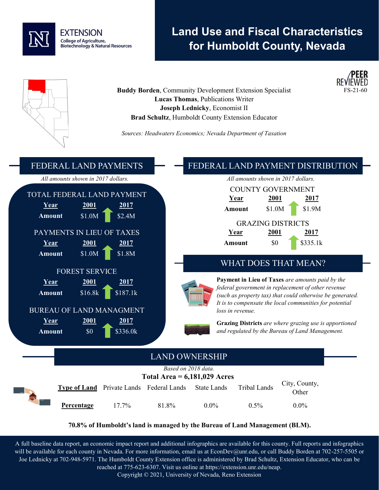

# **Land Use and Fiscal Characteristics for Humboldt County, Nevada**





*Sources: Headwaters Economics; Nevada Department of Taxation*



#### **70.8% of Humboldt's land is managed by the Bureau of Land Management (BLM).**

A full baseline data report, an economic impact report and additional infographics are available for this county. Full reports and infographics will be available for each county in Nevada. For more information, email us at EconDev@unr.edu, or call Buddy Borden at 702-257-5505 or Joe Lednicky at 702-948-5971. The Humboldt County Extension office is administered by Brad Schultz, Extension Educator, who can be reached at 775-623-6307. Visit us online at https://extension.unr.edu/neap.

Copyright © 2021, University of Nevada, Reno Extension